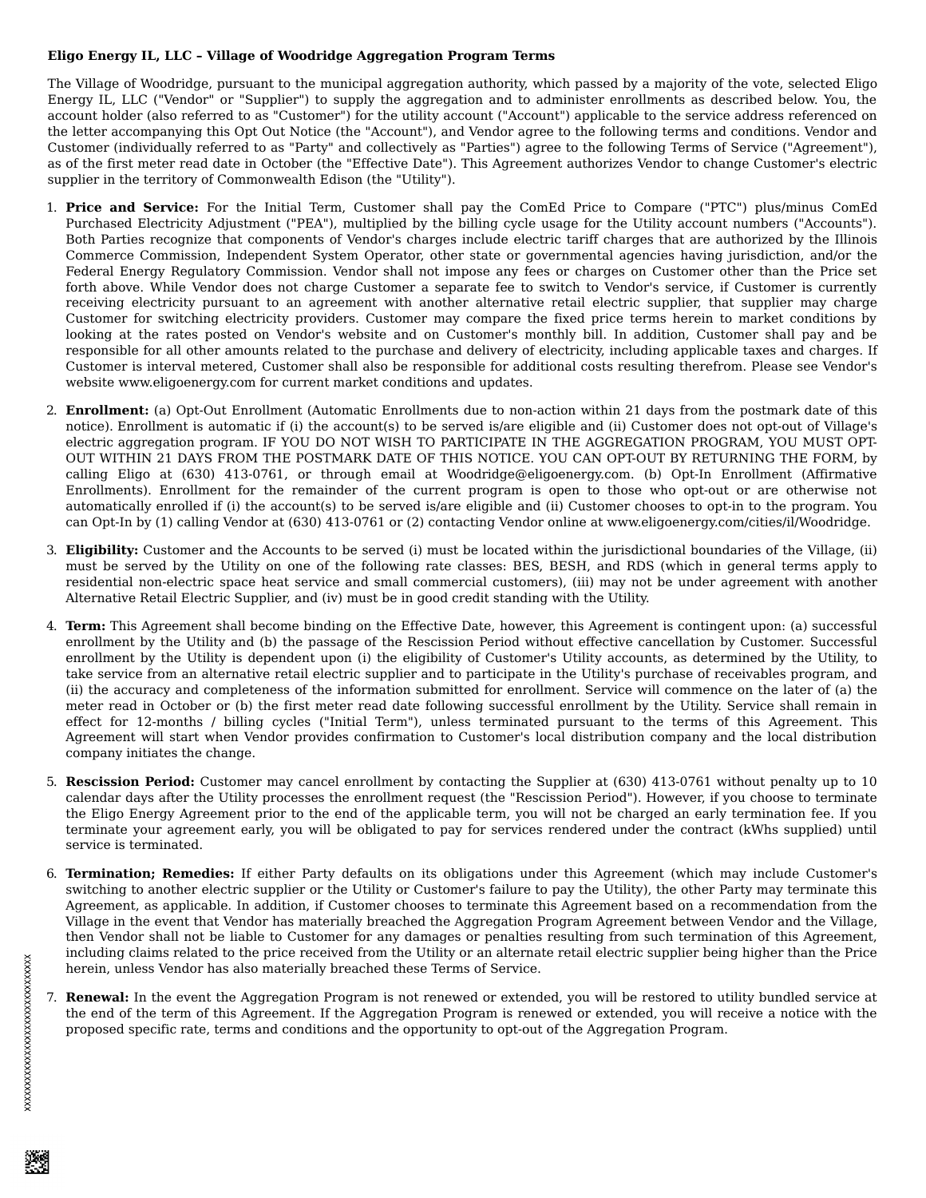## **Eligo Energy IL, LLC – Village of Woodridge Aggregation Program Terms**

The Village of Woodridge, pursuant to the municipal aggregation authority, which passed by a majority of the vote, selected Eligo Energy IL, LLC ("Vendor" or "Supplier") to supply the aggregation and to administer enrollments as described below. You, the account holder (also referred to as "Customer") for the utility account ("Account") applicable to the service address referenced on the letter accompanying this Opt Out Notice (the "Account"), and Vendor agree to the following terms and conditions. Vendor and Customer (individually referred to as "Party" and collectively as "Parties") agree to the following Terms of Service ("Agreement"), as of the first meter read date in October (the "Effective Date"). This Agreement authorizes Vendor to change Customer's electric supplier in the territory of Commonwealth Edison (the "Utility").

- 1. **Price and Service:** For the Initial Term, Customer shall pay the ComEd Price to Compare ("PTC") plus/minus ComEd Purchased Electricity Adjustment ("PEA"), multiplied by the billing cycle usage for the Utility account numbers ("Accounts"). Both Parties recognize that components of Vendor's charges include electric tariff charges that are authorized by the Illinois Commerce Commission, Independent System Operator, other state or governmental agencies having jurisdiction, and/or the Federal Energy Regulatory Commission. Vendor shall not impose any fees or charges on Customer other than the Price set forth above. While Vendor does not charge Customer a separate fee to switch to Vendor's service, if Customer is currently receiving electricity pursuant to an agreement with another alternative retail electric supplier, that supplier may charge Customer for switching electricity providers. Customer may compare the fixed price terms herein to market conditions by looking at the rates posted on Vendor's website and on Customer's monthly bill. In addition, Customer shall pay and be responsible for all other amounts related to the purchase and delivery of electricity, including applicable taxes and charges. If Customer is interval metered, Customer shall also be responsible for additional costs resulting therefrom. Please see Vendor's website www.eligoenergy.com for current market conditions and updates.
- 2. **Enrollment:** (a) Opt-Out Enrollment (Automatic Enrollments due to non-action within 21 days from the postmark date of this notice). Enrollment is automatic if (i) the account(s) to be served is/are eligible and (ii) Customer does not opt-out of Village's electric aggregation program. IF YOU DO NOT WISH TO PARTICIPATE IN THE AGGREGATION PROGRAM, YOU MUST OPT-OUT WITHIN 21 DAYS FROM THE POSTMARK DATE OF THIS NOTICE. YOU CAN OPT-OUT BY RETURNING THE FORM, by calling Eligo at (630) 413-0761, or through email at Woodridge@eligoenergy.com. (b) Opt-In Enrollment (Affirmative Enrollments). Enrollment for the remainder of the current program is open to those who opt-out or are otherwise not automatically enrolled if (i) the account(s) to be served is/are eligible and (ii) Customer chooses to opt-in to the program. You can Opt-In by (1) calling Vendor at (630) 413-0761 or (2) contacting Vendor online at www.eligoenergy.com/cities/il/Woodridge.
- 3. **Eligibility:** Customer and the Accounts to be served (i) must be located within the jurisdictional boundaries of the Village, (ii) must be served by the Utility on one of the following rate classes: BES, BESH, and RDS (which in general terms apply to residential non-electric space heat service and small commercial customers), (iii) may not be under agreement with another Alternative Retail Electric Supplier, and (iv) must be in good credit standing with the Utility.
- 4. **Term:** This Agreement shall become binding on the Effective Date, however, this Agreement is contingent upon: (a) successful enrollment by the Utility and (b) the passage of the Rescission Period without effective cancellation by Customer. Successful enrollment by the Utility is dependent upon (i) the eligibility of Customer's Utility accounts, as determined by the Utility, to take service from an alternative retail electric supplier and to participate in the Utility's purchase of receivables program, and (ii) the accuracy and completeness of the information submitted for enrollment. Service will commence on the later of (a) the meter read in October or (b) the first meter read date following successful enrollment by the Utility. Service shall remain in effect for 12-months / billing cycles ("Initial Term"), unless terminated pursuant to the terms of this Agreement. This Agreement will start when Vendor provides confirmation to Customer's local distribution company and the local distribution company initiates the change.
- 5. **Rescission Period:** Customer may cancel enrollment by contacting the Supplier at (630) 413-0761 without penalty up to 10 calendar days after the Utility processes the enrollment request (the "Rescission Period"). However, if you choose to terminate the Eligo Energy Agreement prior to the end of the applicable term, you will not be charged an early termination fee. If you terminate your agreement early, you will be obligated to pay for services rendered under the contract (kWhs supplied) until service is terminated.
- 6. **Termination; Remedies:** If either Party defaults on its obligations under this Agreement (which may include Customer's switching to another electric supplier or the Utility or Customer's failure to pay the Utility), the other Party may terminate this Agreement, as applicable. In addition, if Customer chooses to terminate this Agreement based on a recommendation from the Village in the event that Vendor has materially breached the Aggregation Program Agreement between Vendor and the Village, then Vendor shall not be liable to Customer for any damages or penalties resulting from such termination of this Agreement, including claims related to the price received from the Utility or an alternate retail electric supplier being higher than the Price herein, unless Vendor has also materially breached these Terms of Service.
- 7. **Renewal:** In the event the Aggregation Program is not renewed or extended, you will be restored to utility bundled service at the end of the term of this Agreement. If the Aggregation Program is renewed or extended, you will receive a notice with the proposed specific rate, terms and conditions and the opportunity to opt-out of the Aggregation Program.